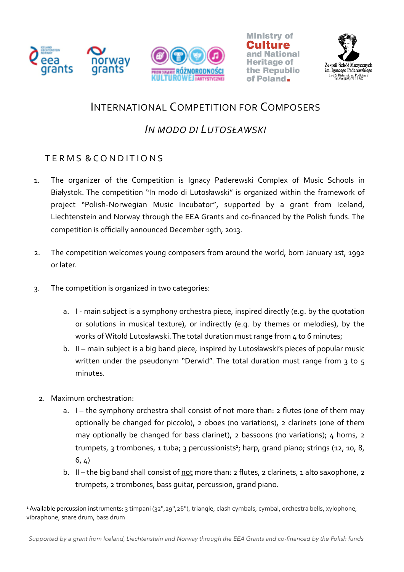







## INTERNATIONAL COMPETITION FOR COMPOSERS

## *IN MODO DI LUTOSŁAWSKI*

## TERMS & CONDITIONS

- 1. The organizer of the Competition is Ignacy Paderewski Complex of Music Schools in Białystok. The competition "In modo di Lutosławski" is organized within the framework of project "Polish-Norwegian Music Incubator", supported by a grant from Iceland, Liechtenstein and Norway through the EEA Grants and co-financed by the Polish funds. The competition is officially announced December 19th, 2013.
- 2. The competition welcomes young composers from around the world, born January 1st, 1992 or later.
- 3. The competition is organized in two categories:
	- a. I main subject is a symphony orchestra piece, inspired directly (e.g. by the quotation or solutions in musical texture), or indirectly (e.g. by themes or melodies), by the works of Witold Lutosławski. The total duration must range from  $4$  to 6 minutes;
	- b. II main subject is a big band piece, inspired by Lutosławski's pieces of popular music written under the pseudonym "Derwid". The total duration must range from  $3$  to  $5$ minutes.
	- 2. Maximum orchestration:
		- a.  $I$  the symphony orchestra shall consist of not more than: 2 flutes (one of them may optionally be changed for piccolo), 2 oboes (no variations), 2 clarinets (one of them may optionally be changed for bass clarinet), 2 bassoons (no variations);  $4$  horns, 2 trumpets, 3 trombones, 1 tuba; 3 percussionists<sup>1</sup>; harp, grand piano; strings (12, 10, 8,  $6, 4)$
		- b. If the big band shall consist of not more than: 2 flutes, 2 clarinets, 1 alto saxophone, 2 trumpets, 2 trombones, bass quitar, percussion, grand piano.

<sup>1</sup> Available percussion instruments: 3 timpani (32",29",26"), triangle, clash cymbals, cymbal, orchestra bells, xylophone, vibraphone, snare drum, bass drum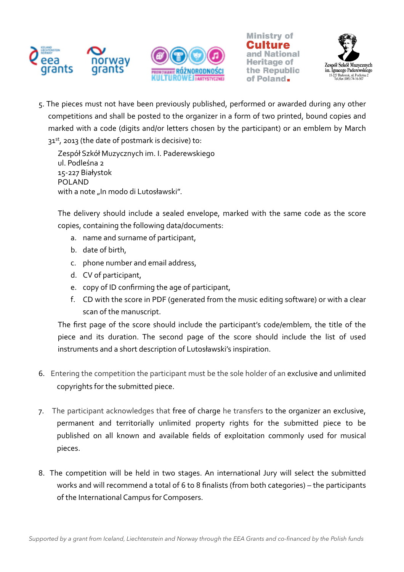







5. The pieces must not have been previously published, performed or awarded during any other competitions and shall be posted to the organizer in a form of two printed, bound copies and marked with a code (digits and/or letters chosen by the participant) or an emblem by March  $31<sup>st</sup>$ , 2013 (the date of postmark is decisive) to:

Zespół Szkół Muzycznych im. I. Paderewskiego ul. Podleśna 2 15-227 Białystok POLAND with a note "In modo di Lutosławski".

The delivery should include a sealed envelope, marked with the same code as the score copies, containing the following data/documents:

- a. name and surname of participant,
- b. date of birth.
- c. phone number and email address,
- d. CV of participant,
- e. copy of ID confirming the age of participant,
- f. CD with the score in PDF (generated from the music editing software) or with a clear scan of the manuscript.

The first page of the score should include the participant's code/emblem, the title of the piece and its duration. The second page of the score should include the list of used instruments and a short description of Lutosławski's inspiration.

- 6. Entering the competition the participant must be the sole holder of an exclusive and unlimited copyrights for the submitted piece.
- 7. The participant acknowledges that free of charge he transfers to the organizer an exclusive, permanent and territorially unlimited property rights for the submitted piece to be published on all known and available fields of exploitation commonly used for musical pieces.
- 8. The competition will be held in two stages. An international Jury will select the submitted works and will recommend a total of 6 to 8 finalists (from both categories) – the participants of the International Campus for Composers.